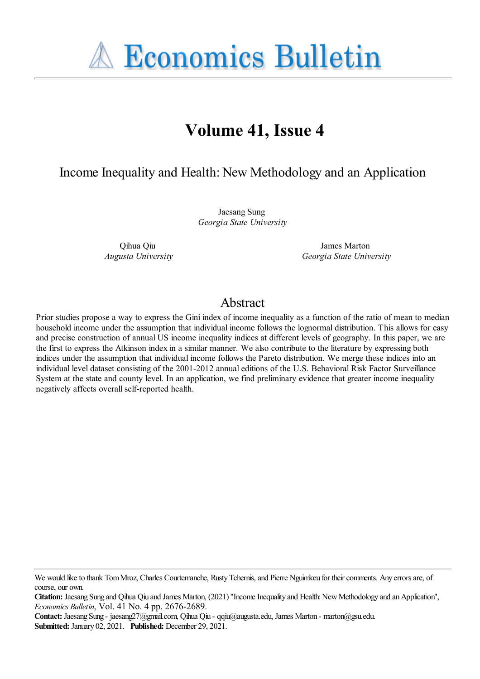**A Economics Bulletin** 

# **Volume 41, Issue 4**

# Income Inequality and Health: New Methodology and an Application

Jaesang Sung *Georgia State University*

Qihua Qiu *Augusta University*

James Marton *Georgia State University*

# Abstract

Prior studies propose a way to express the Gini index of income inequality as a function of the ratio of mean to median household income under the assumption that individual income follows the lognormal distribution. This allows for easy and precise construction of annual US income inequality indices at different levels of geography. In this paper, we are the first to express the Atkinson index in a similar manner. We also contribute to the literature by expressing both indices under the assumption that individual income follows the Pareto distribution. We merge these indices into an individual level dataset consisting of the 2001-2012 annual editions of the U.S. Behavioral Risk Factor Surveillance System at the state and county level. In an application, we find preliminary evidence that greater income inequality negatively affects overall self-reported health.

We would like to thank Tom Mroz, Charles Courtemanche, Rusty Tchernis, and Pierre Nguimkeu for their comments. Any errors are, of course, our own.

**Citation:** Jaesang Sung and Oihua Oiu and James Marton, (2021) "Income Inequality and Health: New Methodology and an Application", *Economics Bulletin*, Vol. 41 No. 4 pp. 2676-2689.

**Contact:** Jaesang Sung - jaesang27@gmail.com, Qihua Qiu - qqiu@augusta.edu, James Marton - marton@gsu.edu. **Submitted:** January 02, 2021. **Published:** December 29, 2021.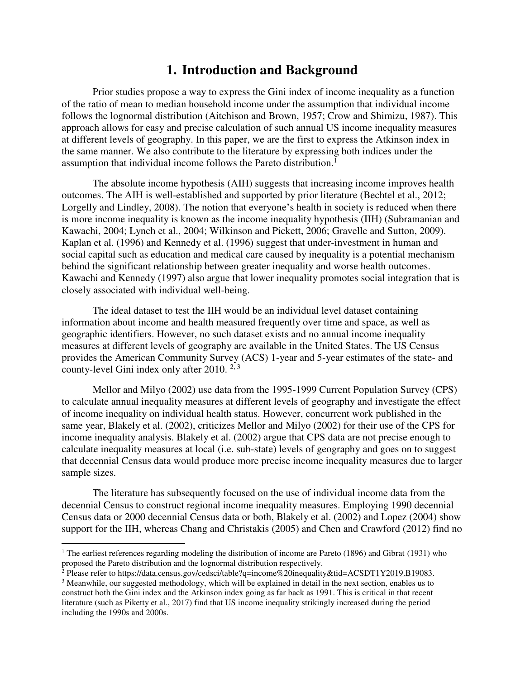# **1. Introduction and Background**

Prior studies propose a way to express the Gini index of income inequality as a function of the ratio of mean to median household income under the assumption that individual income follows the lognormal distribution (Aitchison and Brown, 1957; Crow and Shimizu, 1987). This approach allows for easy and precise calculation of such annual US income inequality measures at different levels of geography. In this paper, we are the first to express the Atkinson index in the same manner. We also contribute to the literature by expressing both indices under the assumption that individual income follows the Pareto distribution.<sup>1</sup>

The absolute income hypothesis (AIH) suggests that increasing income improves health outcomes. The AIH is well-established and supported by prior literature (Bechtel et al., 2012; Lorgelly and Lindley, 2008). The notion that everyone's health in society is reduced when there is more income inequality is known as the income inequality hypothesis (IIH) (Subramanian and Kawachi, 2004; Lynch et al., 2004; Wilkinson and Pickett, 2006; Gravelle and Sutton, 2009). Kaplan et al. (1996) and Kennedy et al. (1996) suggest that under-investment in human and social capital such as education and medical care caused by inequality is a potential mechanism behind the significant relationship between greater inequality and worse health outcomes. Kawachi and Kennedy (1997) also argue that lower inequality promotes social integration that is closely associated with individual well-being.

The ideal dataset to test the IIH would be an individual level dataset containing information about income and health measured frequently over time and space, as well as geographic identifiers. However, no such dataset exists and no annual income inequality measures at different levels of geography are available in the United States. The US Census provides the American Community Survey (ACS) 1-year and 5-year estimates of the state- and county-level Gini index only after 2010.  $2,3$ 

Mellor and Milyo (2002) use data from the 1995-1999 Current Population Survey (CPS) to calculate annual inequality measures at different levels of geography and investigate the effect of income inequality on individual health status. However, concurrent work published in the same year, Blakely et al. (2002), criticizes Mellor and Milyo (2002) for their use of the CPS for income inequality analysis. Blakely et al. (2002) argue that CPS data are not precise enough to calculate inequality measures at local (i.e. sub-state) levels of geography and goes on to suggest that decennial Census data would produce more precise income inequality measures due to larger sample sizes.

The literature has subsequently focused on the use of individual income data from the decennial Census to construct regional income inequality measures. Employing 1990 decennial Census data or 2000 decennial Census data or both, Blakely et al. (2002) and Lopez (2004) show support for the IIH, whereas Chang and Christakis (2005) and Chen and Crawford (2012) find no

l

<sup>&</sup>lt;sup>1</sup> The earliest references regarding modeling the distribution of income are Pareto (1896) and Gibrat (1931) who proposed the Pareto distribution and the lognormal distribution respectively.

<sup>&</sup>lt;sup>2</sup> Please refer to [https://data.census.gov/cedsci/table?q=income%20inequality&tid=ACSDT1Y2019.B19083.](https://data.census.gov/cedsci/table?q=income%20inequality&tid=ACSDT1Y2019.B19083)

<sup>&</sup>lt;sup>3</sup> Meanwhile, our suggested methodology, which will be explained in detail in the next section, enables us to construct both the Gini index and the Atkinson index going as far back as 1991. This is critical in that recent literature (such as Piketty et al., 2017) find that US income inequality strikingly increased during the period including the 1990s and 2000s.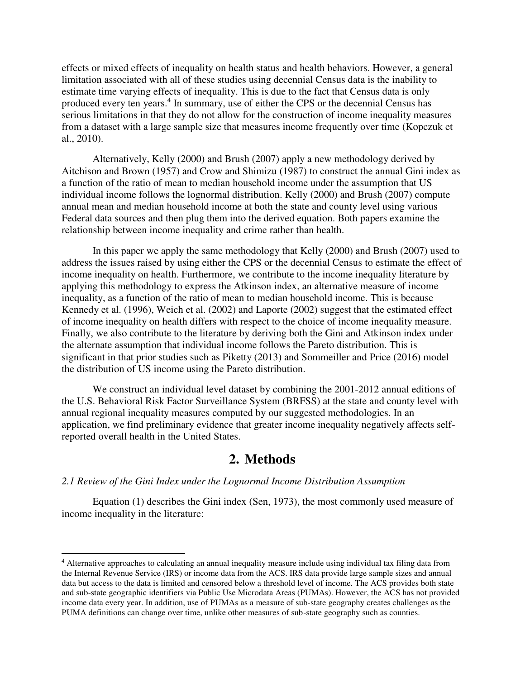effects or mixed effects of inequality on health status and health behaviors. However, a general limitation associated with all of these studies using decennial Census data is the inability to estimate time varying effects of inequality. This is due to the fact that Census data is only produced every ten years.<sup>4</sup> In summary, use of either the CPS or the decennial Census has serious limitations in that they do not allow for the construction of income inequality measures from a dataset with a large sample size that measures income frequently over time (Kopczuk et al., 2010).

Alternatively, Kelly (2000) and Brush (2007) apply a new methodology derived by Aitchison and Brown (1957) and Crow and Shimizu (1987) to construct the annual Gini index as a function of the ratio of mean to median household income under the assumption that US individual income follows the lognormal distribution. Kelly (2000) and Brush (2007) compute annual mean and median household income at both the state and county level using various Federal data sources and then plug them into the derived equation. Both papers examine the relationship between income inequality and crime rather than health.

In this paper we apply the same methodology that Kelly (2000) and Brush (2007) used to address the issues raised by using either the CPS or the decennial Census to estimate the effect of income inequality on health. Furthermore, we contribute to the income inequality literature by applying this methodology to express the Atkinson index, an alternative measure of income inequality, as a function of the ratio of mean to median household income. This is because Kennedy et al. (1996), Weich et al. (2002) and Laporte (2002) suggest that the estimated effect of income inequality on health differs with respect to the choice of income inequality measure. Finally, we also contribute to the literature by deriving both the Gini and Atkinson index under the alternate assumption that individual income follows the Pareto distribution. This is significant in that prior studies such as Piketty (2013) and Sommeiller and Price (2016) model the distribution of US income using the Pareto distribution.

We construct an individual level dataset by combining the 2001-2012 annual editions of the U.S. Behavioral Risk Factor Surveillance System (BRFSS) at the state and county level with annual regional inequality measures computed by our suggested methodologies. In an application, we find preliminary evidence that greater income inequality negatively affects selfreported overall health in the United States.

# **2. Methods**

#### *2.1 Review of the Gini Index under the Lognormal Income Distribution Assumption*

 $\overline{a}$ 

Equation (1) describes the Gini index (Sen, 1973), the most commonly used measure of income inequality in the literature:

<sup>&</sup>lt;sup>4</sup> Alternative approaches to calculating an annual inequality measure include using individual tax filing data from the Internal Revenue Service (IRS) or income data from the ACS. IRS data provide large sample sizes and annual data but access to the data is limited and censored below a threshold level of income. The ACS provides both state and sub-state geographic identifiers via Public Use Microdata Areas (PUMAs). However, the ACS has not provided income data every year. In addition, use of PUMAs as a measure of sub-state geography creates challenges as the PUMA definitions can change over time, unlike other measures of sub-state geography such as counties.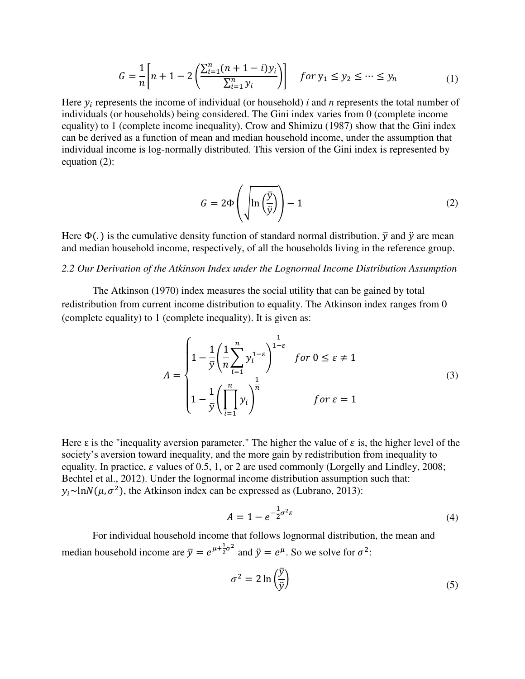$$
G = \frac{1}{n} \left[ n + 1 - 2 \left( \frac{\sum_{i=1}^{n} (n + 1 - i) y_i}{\sum_{i=1}^{n} y_i} \right) \right] \quad \text{for } y_1 \le y_2 \le \dots \le y_n \tag{1}
$$

Here  $y_i$  represents the income of individual (or household) *i* and *n* represents the total number of individuals (or households) being considered. The Gini index varies from 0 (complete income equality) to 1 (complete income inequality). Crow and Shimizu (1987) show that the Gini index can be derived as a function of mean and median household income, under the assumption that individual income is log-normally distributed. This version of the Gini index is represented by equation (2):

$$
G = 2\Phi\left(\sqrt{\ln\left(\frac{\bar{y}}{\bar{y}}\right)}\right) - 1\tag{2}
$$

Here  $\Phi(.)$  is the cumulative density function of standard normal distribution.  $\bar{y}$  and  $\ddot{y}$  are mean and median household income, respectively, of all the households living in the reference group.

#### *2.2 Our Derivation of the Atkinson Index under the Lognormal Income Distribution Assumption*

The Atkinson (1970) index measures the social utility that can be gained by total redistribution from current income distribution to equality. The Atkinson index ranges from 0 (complete equality) to 1 (complete inequality). It is given as:

$$
A = \begin{cases} 1 - \frac{1}{\overline{y}} \left( \frac{1}{n} \sum_{i=1}^{n} y_i^{1-\varepsilon} \right)^{\frac{1}{1-\varepsilon}} & \text{for } 0 \le \varepsilon \neq 1 \\ 1 - \frac{1}{\overline{y}} \left( \prod_{i=1}^{n} y_i \right)^{\frac{1}{n}} & \text{for } \varepsilon = 1 \end{cases}
$$
(3)

Here  $\varepsilon$  is the "inequality aversion parameter." The higher the value of  $\varepsilon$  is, the higher level of the society's aversion toward inequality, and the more gain by redistribution from inequality to equality. In practice,  $\varepsilon$  values of 0.5, 1, or 2 are used commonly (Lorgelly and Lindley, 2008; Bechtel et al., 2012). Under the lognormal income distribution assumption such that:  $y_i \sim \ln N(\mu, \sigma^2)$ , the Atkinson index can be expressed as (Lubrano, 2013):

$$
A = 1 - e^{-\frac{1}{2}\sigma^2 \varepsilon} \tag{4}
$$

For individual household income that follows lognormal distribution, the mean and median household income are  $\bar{y} = e^{\mu + \frac{1}{2}}$  $\frac{1}{2}\sigma^2$  and  $\ddot{y} = e^{\mu}$ . So we solve for  $\sigma^2$ :

$$
\sigma^2 = 2 \ln \left( \frac{\bar{y}}{\bar{y}} \right) \tag{5}
$$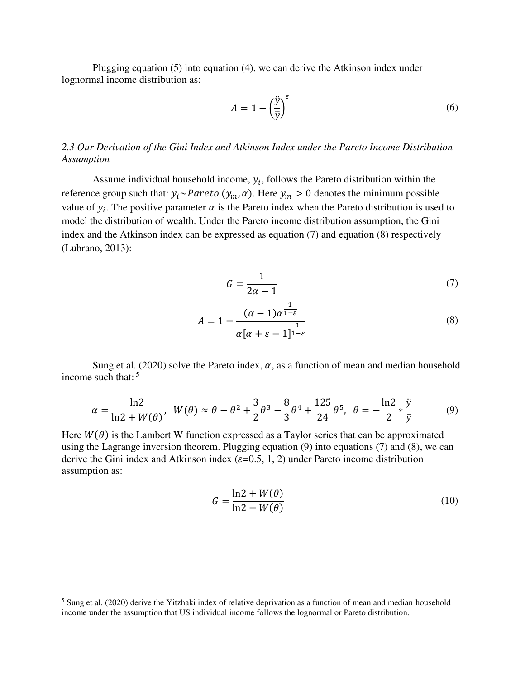Plugging equation (5) into equation (4), we can derive the Atkinson index under lognormal income distribution as:

$$
A = 1 - \left(\frac{\ddot{y}}{\overline{y}}\right)^{\varepsilon} \tag{6}
$$

#### *2.3 Our Derivation of the Gini Index and Atkinson Index under the Pareto Income Distribution Assumption*

Assume individual household income,  $y_i$ , follows the Pareto distribution within the reference group such that:  $y_i \sim Pareto (y_m, \alpha)$ . Here  $y_m > 0$  denotes the minimum possible value of  $y_i$ . The positive parameter  $\alpha$  is the Pareto index when the Pareto distribution is used to model the distribution of wealth. Under the Pareto income distribution assumption, the Gini index and the Atkinson index can be expressed as equation (7) and equation (8) respectively (Lubrano, 2013):

$$
G = \frac{1}{2\alpha - 1} \tag{7}
$$

$$
A = 1 - \frac{(\alpha - 1)\alpha^{\frac{1}{1-\epsilon}}}{\alpha[\alpha + \epsilon - 1]^{\frac{1}{1-\epsilon}}}
$$
(8)

Sung et al. (2020) solve the Pareto index,  $\alpha$ , as a function of mean and median household income such that:  $5<sup>5</sup>$ 

$$
\alpha = \frac{\ln 2}{\ln 2 + W(\theta)}, \ W(\theta) \approx \theta - \theta^2 + \frac{3}{2}\theta^3 - \frac{8}{3}\theta^4 + \frac{125}{24}\theta^5, \ \theta = -\frac{\ln 2}{2} * \frac{\ddot{y}}{\overline{y}}
$$
(9)

Here  $W(\theta)$  is the Lambert W function expressed as a Taylor series that can be approximated using the Lagrange inversion theorem. Plugging equation (9) into equations (7) and (8), we can derive the Gini index and Atkinson index ( $\varepsilon$ =0.5, 1, 2) under Pareto income distribution assumption as:

$$
G = \frac{\ln 2 + W(\theta)}{\ln 2 - W(\theta)}
$$
(10)

l

<sup>&</sup>lt;sup>5</sup> Sung et al. (2020) derive the Yitzhaki index of relative deprivation as a function of mean and median household income under the assumption that US individual income follows the lognormal or Pareto distribution.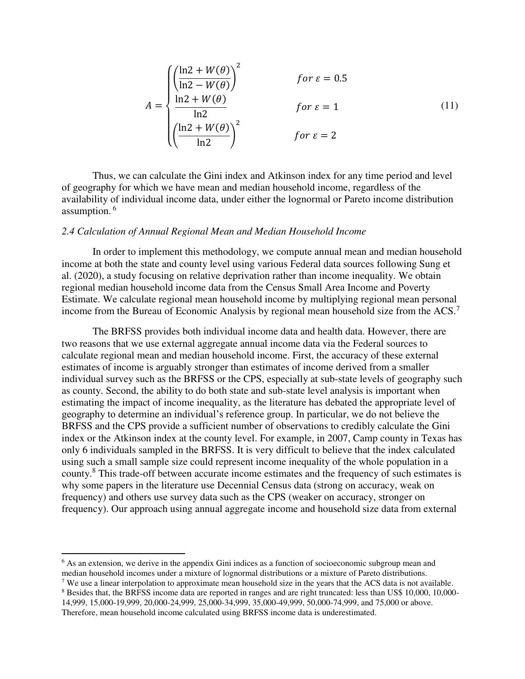$$
A = \begin{cases} \left(\frac{\ln 2 + W(\theta)}{\ln 2 - W(\theta)}\right)^2 & \text{for } \varepsilon = 0.5\\ \frac{\ln 2 + W(\theta)}{\ln 2} & \text{for } \varepsilon = 1\\ \left(\frac{\ln 2 + W(\theta)}{\ln 2}\right)^2 & \text{for } \varepsilon = 2 \end{cases}
$$
(11)

Thus, we can calculate the Gini index and Atkinson index for any time period and level of geography for which we have mean and median household income, regardless of the availability of individual income data, under either the lognormal or Pareto income distribution assumption.<sup>6</sup>

#### *2.4 Calculation of Annual Regional Mean and Median Household Income*

In order to implement this methodology, we compute annual mean and median household income at both the state and county level using various Federal data sources following Sung et al. (2020), a study focusing on relative deprivation rather than income inequality. We obtain regional median household income data from the Census Small Area Income and Poverty Estimate. We calculate regional mean household income by multiplying regional mean personal income from the Bureau of Economic Analysis by regional mean household size from the ACS.<sup>7</sup>

The BRFSS provides both individual income data and health data. However, there are two reasons that we use external aggregate annual income data via the Federal sources to calculate regional mean and median household income. First, the accuracy of these external estimates of income is arguably stronger than estimates of income derived from a smaller individual survey such as the BRFSS or the CPS, especially at sub-state levels of geography such as county. Second, the ability to do both state and sub-state level analysis is important when estimating the impact of income inequality, as the literature has debated the appropriate level of geography to determine an individual's reference group. In particular, we do not believe the BRFSS and the CPS provide a sufficient number of observations to credibly calculate the Gini index or the Atkinson index at the county level. For example, in 2007, Camp county in Texas has only 6 individuals sampled in the BRFSS. It is very difficult to believe that the index calculated using such a small sample size could represent income inequality of the whole population in a county.<sup>8</sup> This trade-off between accurate income estimates and the frequency of such estimates is why some papers in the literature use Decennial Census data (strong on accuracy, weak on frequency) and others use survey data such as the CPS (weaker on accuracy, stronger on frequency). Our approach using annual aggregate income and household size data from external

 $\overline{a}$ 

<sup>7</sup> We use a linear interpolation to approximate mean household size in the years that the ACS data is not available.

<sup>&</sup>lt;sup>6</sup> As an extension, we derive in the appendix Gini indices as a function of socioeconomic subgroup mean and median household incomes under a mixture of lognormal distributions or a mixture of Pareto distributions.

<sup>&</sup>lt;sup>8</sup> Besides that, the BRFSS income data are reported in ranges and are right truncated: less than US\$ 10,000, 10,000-

<sup>14,999, 15,000-19,999, 20,000-24,999, 25,000-34,999, 35,000-49,999, 50,000-74,999,</sup> and 75,000 or above. Therefore, mean household income calculated using BRFSS income data is underestimated.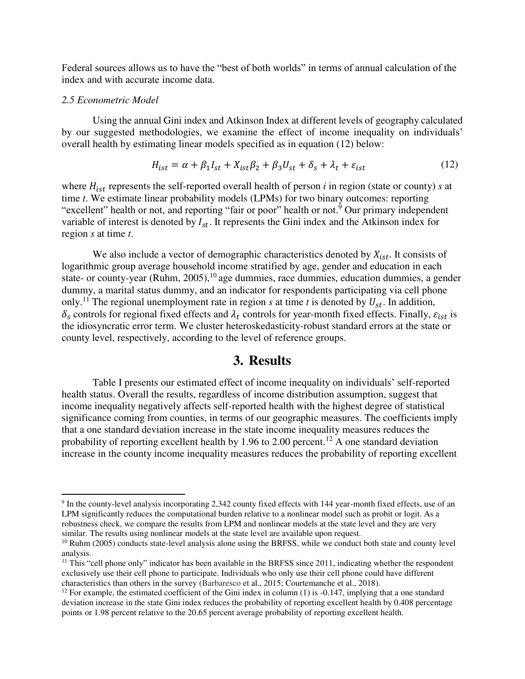Federal sources allows us to have the "best of both worlds" in terms of annual calculation of the index and with accurate income data.

#### *2.5 Econometric Model*

 $\overline{a}$ 

Using the annual Gini index and Atkinson Index at different levels of geography calculated by our suggested methodologies, we examine the effect of income inequality on individuals' overall health by estimating linear models specified as in equation (12) below:

$$
H_{ist} = \alpha + \beta_1 I_{st} + X_{ist}\beta_2 + \beta_3 U_{st} + \delta_s + \lambda_t + \varepsilon_{ist}
$$
 (12)

where  $H_{ist}$  represents the self-reported overall health of person  $i$  in region (state or county)  $s$  at time *t*. We estimate linear probability models (LPMs) for two binary outcomes: reporting "excellent" health or not, and reporting "fair or poor" health or not.<sup>9</sup> Our primary independent variable of interest is denoted by  $I_{st}$ . It represents the Gini index and the Atkinson index for region *s* at time *t*.

We also include a vector of demographic characteristics denoted by  $X_{ist}$ . It consists of logarithmic group average household income stratified by age, gender and education in each state- or county-year (Ruhm, 2005), $^{10}$  age dummies, race dummies, education dummies, a gender dummy, a marital status dummy, and an indicator for respondents participating via cell phone only.<sup>11</sup> The regional unemployment rate in region *s* at time *t* is denoted by  $U_{st}$ . In addition,  $\delta_s$  controls for regional fixed effects and  $\lambda_t$  controls for year-month fixed effects. Finally,  $\varepsilon_{ist}$  is the idiosyncratic error term. We cluster heteroskedasticity-robust standard errors at the state or county level, respectively, according to the level of reference groups.

### **3. Results**

Table I presents our estimated effect of income inequality on individuals' self-reported health status. Overall the results, regardless of income distribution assumption, suggest that income inequality negatively affects self-reported health with the highest degree of statistical significance coming from counties, in terms of our geographic measures. The coefficients imply that a one standard deviation increase in the state income inequality measures reduces the probability of reporting excellent health by 1.96 to 2.00 percent.<sup>12</sup> A one standard deviation increase in the county income inequality measures reduces the probability of reporting excellent

 $9$  In the county-level analysis incorporating 2,342 county fixed effects with 144 year-month fixed effects, use of an LPM significantly reduces the computational burden relative to a nonlinear model such as probit or logit. As a robustness check, we compare the results from LPM and nonlinear models at the state level and they are very similar. The results using nonlinear models at the state level are available upon request.

<sup>&</sup>lt;sup>10</sup> Ruhm (2005) conducts state-level analysis alone using the BRFSS, while we conduct both state and county level analysis.

 $11$  This "cell phone only" indicator has been available in the BRFSS since 2011, indicating whether the respondent exclusively use their cell phone to participate. Individuals who only use their cell phone could have different characteristics than others in the survey (Barbaresco et al., 2015; Courtemanche et al., 2018).

<sup>&</sup>lt;sup>12</sup> For example, the estimated coefficient of the Gini index in column (1) is  $-0.147$ , implying that a one standard deviation increase in the state Gini index reduces the probability of reporting excellent health by 0.408 percentage points or 1.98 percent relative to the 20.65 percent average probability of reporting excellent health.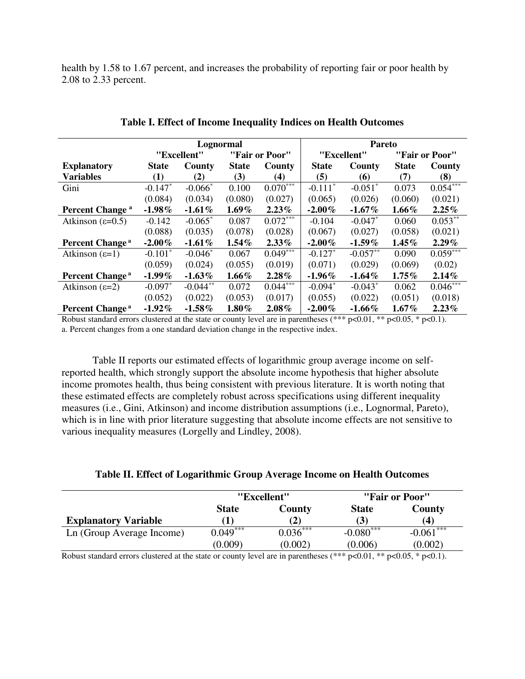health by 1.58 to 1.67 percent, and increases the probability of reporting fair or poor health by 2.08 to 2.33 percent.

|                             | Lognormal    |             |                |            | <b>Pareto</b>         |                       |                |                        |
|-----------------------------|--------------|-------------|----------------|------------|-----------------------|-----------------------|----------------|------------------------|
|                             |              | "Excellent" | "Fair or Poor" |            | "Excellent"           |                       | "Fair or Poor" |                        |
| <b>Explanatory</b>          | <b>State</b> | County      | <b>State</b>   | County     | <b>State</b>          | County                | <b>State</b>   | County                 |
| <b>Variables</b>            | (1)          | (2)         | (3)            | (4)        | (5)                   | (6)                   | (7)            | (8)                    |
| Gini                        | $-0.147*$    | $-0.066*$   | 0.100          | $0.070***$ | $-0.111$ <sup>*</sup> | $-0.051$ <sup>*</sup> | 0.073          | $0.054$ <sup>***</sup> |
|                             | (0.084)      | (0.034)     | (0.080)        | (0.027)    | (0.065)               | (0.026)               | (0.060)        | (0.021)                |
| Percent Change <sup>a</sup> | $-1.98\%$    | $-1.61\%$   | $1.69\%$       | $2.23\%$   | $-2.00\%$             | $-1.67\%$             | $1.66\%$       | 2.25%                  |
| Atkinson $(\epsilon=0.5)$   | $-0.142$     | $-0.065*$   | 0.087          | $0.072***$ | $-0.104$              | $-0.047*$             | 0.060          | $0.053**$              |
|                             | (0.088)      | (0.035)     | (0.078)        | (0.028)    | (0.067)               | (0.027)               | (0.058)        | (0.021)                |
| Percent Change <sup>a</sup> | $-2.00\%$    | $-1.61\%$   | $1.54\%$       | $2.33\%$   | $-2.00\%$             | $-1.59\%$             | $1.45\%$       | $2.29\%$               |
| Atkinson $(\epsilon=1)$     | $-0.101*$    | $-0.046*$   | 0.067          | $0.049***$ | $-0.127*$             | $-0.057**$            | 0.090          | $0.059***$             |
|                             | (0.059)      | (0.024)     | (0.055)        | (0.019)    | (0.071)               | (0.029)               | (0.069)        | (0.02)                 |
| Percent Change <sup>a</sup> | $-1.99\%$    | $-1.63\%$   | $1.66\%$       | $2.28\%$   | $-1.96\%$             | $-1.64\%$             | $1.75\%$       | 2.14%                  |
| Atkinson $(\epsilon=2)$     | $-0.097*$    | $-0.044**$  | 0.072          | $0.044***$ | $-0.094*$             | $-0.043*$             | 0.062          | $0.046***$             |
|                             | (0.052)      | (0.022)     | (0.053)        | (0.017)    | (0.055)               | (0.022)               | (0.051)        | (0.018)                |
| Percent Change <sup>a</sup> | $-1.92\%$    | $-1.58\%$   | $1.80\%$       | $2.08\%$   | $-2.00\%$             | $-1.66\%$             | $1.67\%$       | 2.23%                  |

| Table I. Effect of Income Inequality Indices on Health Outcomes |  |  |  |  |  |  |  |
|-----------------------------------------------------------------|--|--|--|--|--|--|--|
|-----------------------------------------------------------------|--|--|--|--|--|--|--|

Robust standard errors clustered at the state or county level are in parentheses (\*\*\*  $p<0.01$ , \*\*  $p<0.05$ , \*  $p<0.1$ ). a. Percent changes from a one standard deviation change in the respective index.

Table II reports our estimated effects of logarithmic group average income on selfreported health, which strongly support the absolute income hypothesis that higher absolute income promotes health, thus being consistent with previous literature. It is worth noting that these estimated effects are completely robust across specifications using different inequality measures (i.e., Gini, Atkinson) and income distribution assumptions (i.e., Lognormal, Pareto), which is in line with prior literature suggesting that absolute income effects are not sensitive to various inequality measures (Lorgelly and Lindley, 2008).

|                             | "Excellent"  |            | "Fair or Poor" |             |
|-----------------------------|--------------|------------|----------------|-------------|
|                             | <b>State</b> | County     | <b>State</b>   | County      |
| <b>Explanatory Variable</b> |              |            | (3)            | (4)         |
| Ln (Group Average Income)   | $0.049***$   | $0.036***$ | $-0.080***$    | $-0.061***$ |
|                             | (0.009)      | (0.002)    | (0.006)        | (0.002)     |

Robust standard errors clustered at the state or county level are in parentheses (\*\*\* p<0.01, \*\* p<0.05, \* p<0.1).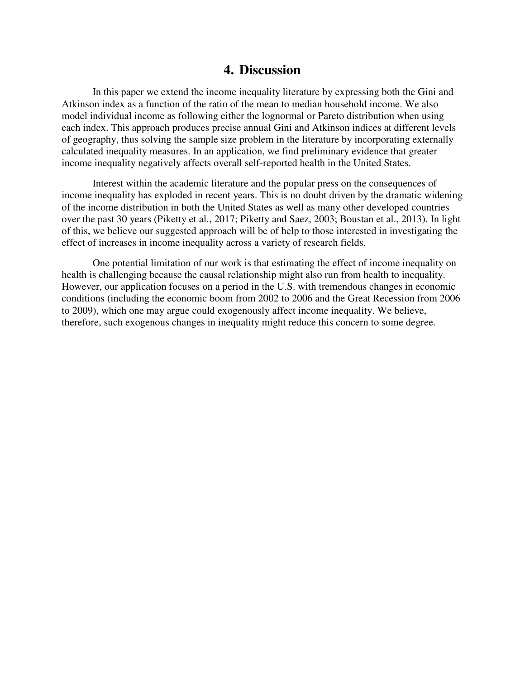## **4. Discussion**

In this paper we extend the income inequality literature by expressing both the Gini and Atkinson index as a function of the ratio of the mean to median household income. We also model individual income as following either the lognormal or Pareto distribution when using each index. This approach produces precise annual Gini and Atkinson indices at different levels of geography, thus solving the sample size problem in the literature by incorporating externally calculated inequality measures. In an application, we find preliminary evidence that greater income inequality negatively affects overall self-reported health in the United States.

Interest within the academic literature and the popular press on the consequences of income inequality has exploded in recent years. This is no doubt driven by the dramatic widening of the income distribution in both the United States as well as many other developed countries over the past 30 years (Piketty et al., 2017; Piketty and Saez, 2003; Boustan et al., 2013). In light of this, we believe our suggested approach will be of help to those interested in investigating the effect of increases in income inequality across a variety of research fields.

One potential limitation of our work is that estimating the effect of income inequality on health is challenging because the causal relationship might also run from health to inequality. However, our application focuses on a period in the U.S. with tremendous changes in economic conditions (including the economic boom from 2002 to 2006 and the Great Recession from 2006 to 2009), which one may argue could exogenously affect income inequality. We believe, therefore, such exogenous changes in inequality might reduce this concern to some degree.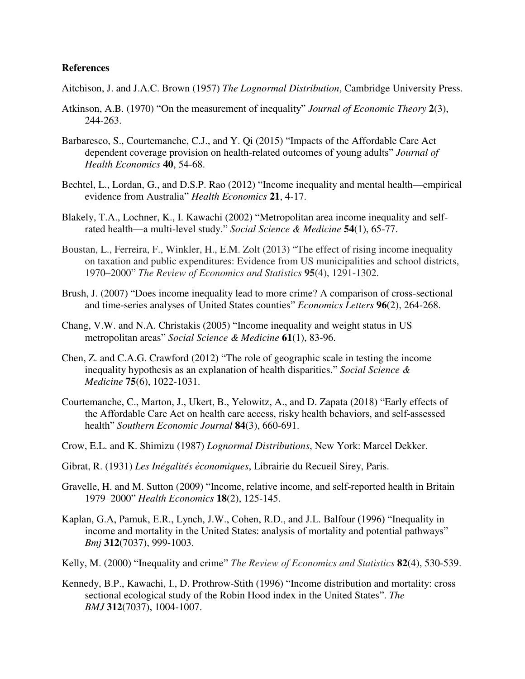#### **References**

- Aitchison, J. and J.A.C. Brown (1957) *The Lognormal Distribution*, Cambridge University Press.
- Atkinson, A.B. (1970) "On the measurement of inequality" *Journal of Economic Theory* **2**(3), 244-263.
- Barbaresco, S., Courtemanche, C.J., and Y. Qi (2015) "Impacts of the Affordable Care Act dependent coverage provision on health-related outcomes of young adults" *Journal of Health Economics* **40**, 54-68.
- Bechtel, L., Lordan, G., and D.S.P. Rao (2012) "Income inequality and mental health—empirical evidence from Australia" *Health Economics* **21**, 4-17.
- Blakely, T.A., Lochner, K., I. Kawachi (2002) "Metropolitan area income inequality and selfrated health—a multi-level study." *Social Science & Medicine* **54**(1), 65-77.
- Boustan, L., Ferreira, F., Winkler, H., E.M. Zolt (2013) "The effect of rising income inequality on taxation and public expenditures: Evidence from US municipalities and school districts, 1970–2000" *The Review of Economics and Statistics* **95**(4), 1291-1302.
- Brush, J. (2007) "Does income inequality lead to more crime? A comparison of cross-sectional and time-series analyses of United States counties" *Economics Letters* **96**(2), 264-268.
- Chang, V.W. and N.A. Christakis (2005) "Income inequality and weight status in US metropolitan areas" *Social Science & Medicine* **61**(1), 83-96.
- Chen, Z. and C.A.G. Crawford (2012) "The role of geographic scale in testing the income inequality hypothesis as an explanation of health disparities." *Social Science & Medicine* **75**(6), 1022-1031.
- Courtemanche, C., Marton, J., Ukert, B., Yelowitz, A., and D. Zapata (2018) "Early effects of the Affordable Care Act on health care access, risky health behaviors, and self‐assessed health" *Southern Economic Journal* **84**(3), 660-691.
- Crow, E.L. and K. Shimizu (1987) *Lognormal Distributions*, New York: Marcel Dekker.
- Gibrat, R. (1931) *Les Inégalités ́conomiques*, Librairie du Recueil Sirey, Paris.
- Gravelle, H. and M. Sutton (2009) "Income, relative income, and self‐reported health in Britain 1979–2000" *Health Economics* **18**(2), 125-145.
- Kaplan, G.A, Pamuk, E.R., Lynch, J.W., Cohen, R.D., and J.L. Balfour (1996) "Inequality in income and mortality in the United States: analysis of mortality and potential pathways" *Bmj* **312**(7037), 999-1003.
- Kelly, M. (2000) "Inequality and crime" *The Review of Economics and Statistics* **82**(4), 530-539.
- Kennedy, B.P., Kawachi, I., D. Prothrow-Stith (1996) "Income distribution and mortality: cross sectional ecological study of the Robin Hood index in the United States". *The BMJ* **312**(7037), 1004-1007.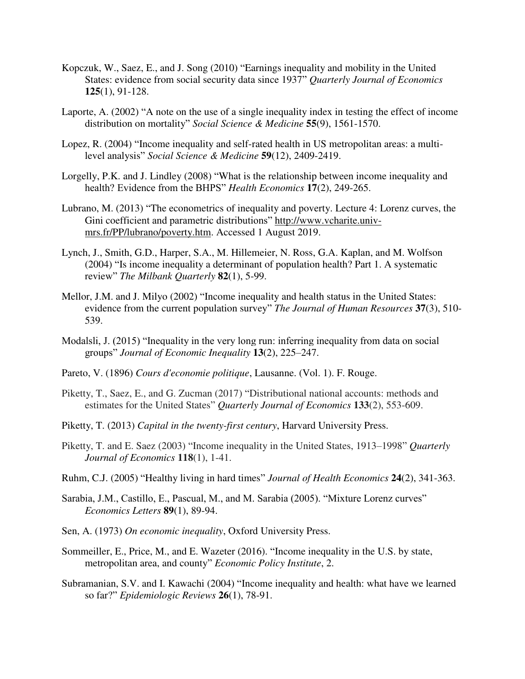- Kopczuk, W., Saez, E., and J. Song (2010) "Earnings inequality and mobility in the United States: evidence from social security data since 1937" *Quarterly Journal of Economics*  **125**(1), 91-128.
- Laporte, A. (2002) "A note on the use of a single inequality index in testing the effect of income distribution on mortality" *Social Science & Medicine* **55**(9), 1561-1570.
- Lopez, R. (2004) "Income inequality and self-rated health in US metropolitan areas: a multilevel analysis" *Social Science & Medicine* **59**(12), 2409-2419.
- Lorgelly, P.K. and J. Lindley (2008) "What is the relationship between income inequality and health? Evidence from the BHPS" *Health Economics* **17**(2), 249-265.
- Lubrano, M. (2013) "The econometrics of inequality and poverty. Lecture 4: Lorenz curves, the Gini coefficient and parametric distributions" [http://www.vcharite.univ](http://www.vcharite.univ-mrs.fr/PP/lubrano/poverty.htm)[mrs.fr/PP/lubrano/poverty.htm.](http://www.vcharite.univ-mrs.fr/PP/lubrano/poverty.htm) Accessed 1 August 2019.
- Lynch, J., Smith, G.D., Harper, S.A., M. Hillemeier, N. Ross, G.A. Kaplan, and M. Wolfson (2004) "Is income inequality a determinant of population health? Part 1. A systematic review" *The Milbank Quarterly* **82**(1), 5-99.
- Mellor, J.M. and J. Milyo (2002) "Income inequality and health status in the United States: evidence from the current population survey" *The Journal of Human Resources* **37**(3), 510- 539.
- Modalsli, J. (2015) "Inequality in the very long run: inferring inequality from data on social groups" *Journal of Economic Inequality* **13**(2), 225–247.
- Pareto, V. (1896) *Cours d'economie politique*, Lausanne. (Vol. 1). F. Rouge.
- Piketty, T., Saez, E., and G. Zucman (2017) "Distributional national accounts: methods and estimates for the United States" *Quarterly Journal of Economics* **133**(2), 553-609.
- Piketty, T. (2013) *Capital in the twenty-first century*, Harvard University Press.
- Piketty, T. and E. Saez (2003) "Income inequality in the United States, 1913–1998" *Quarterly Journal of Economics* **118**(1), 1-41.
- Ruhm, C.J. (2005) "Healthy living in hard times" *Journal of Health Economics* **24**(2), 341-363.
- Sarabia, J.M., Castillo, E., Pascual, M., and M. Sarabia (2005). "Mixture Lorenz curves" *Economics Letters* **89**(1), 89-94.
- Sen, A. (1973) *On economic inequality*, Oxford University Press.
- Sommeiller, E., Price, M., and E. Wazeter (2016). "Income inequality in the U.S. by state, metropolitan area, and county" *Economic Policy Institute*, 2.
- Subramanian, S.V. and I. Kawachi (2004) "Income inequality and health: what have we learned so far?" *Epidemiologic Reviews* **26**(1), 78-91.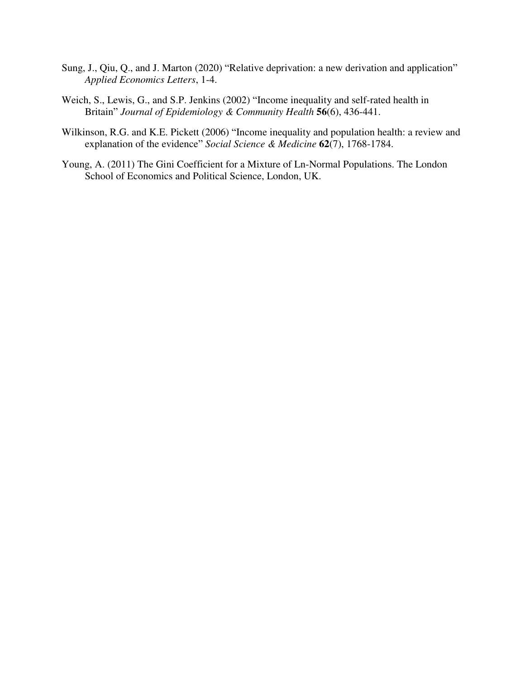- Sung, J., Qiu, Q., and J. Marton (2020) "Relative deprivation: a new derivation and application" *Applied Economics Letters*, 1-4.
- Weich, S., Lewis, G., and S.P. Jenkins (2002) "Income inequality and self-rated health in Britain" *Journal of Epidemiology & Community Health* **56**(6), 436-441.
- Wilkinson, R.G. and K.E. Pickett (2006) "Income inequality and population health: a review and explanation of the evidence" *Social Science & Medicine* **62**(7), 1768-1784.
- Young, A. (2011) The Gini Coefficient for a Mixture of Ln-Normal Populations. The London School of Economics and Political Science, London, UK.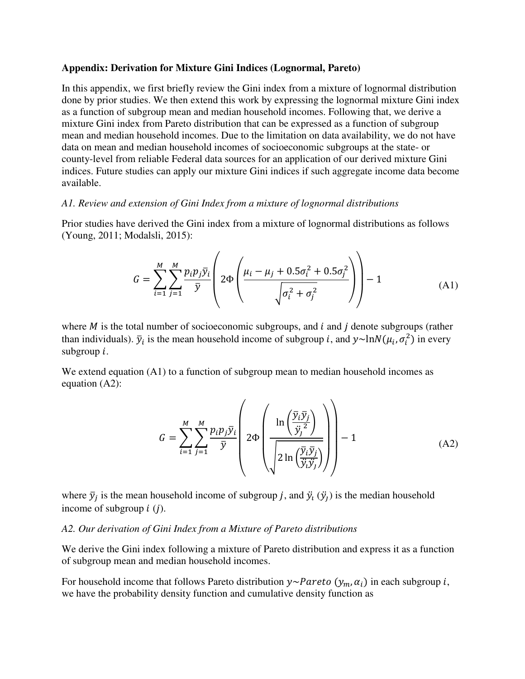#### **Appendix: Derivation for Mixture Gini Indices (Lognormal, Pareto)**

In this appendix, we first briefly review the Gini index from a mixture of lognormal distribution done by prior studies. We then extend this work by expressing the lognormal mixture Gini index as a function of subgroup mean and median household incomes. Following that, we derive a mixture Gini index from Pareto distribution that can be expressed as a function of subgroup mean and median household incomes. Due to the limitation on data availability, we do not have data on mean and median household incomes of socioeconomic subgroups at the state- or county-level from reliable Federal data sources for an application of our derived mixture Gini indices. Future studies can apply our mixture Gini indices if such aggregate income data become available.

#### *A1. Review and extension of Gini Index from a mixture of lognormal distributions*

Prior studies have derived the Gini index from a mixture of lognormal distributions as follows (Young, 2011; Modalsli, 2015):

$$
G = \sum_{i=1}^{M} \sum_{j=1}^{M} \frac{p_i p_j \bar{y}_i}{\bar{y}} \left( 2\Phi \left( \frac{\mu_i - \mu_j + 0.5\sigma_i^2 + 0.5\sigma_j^2}{\sqrt{\sigma_i^2 + \sigma_j^2}} \right) \right) - 1 \tag{A1}
$$

where  $M$  is the total number of socioeconomic subgroups, and  $i$  and  $j$  denote subgroups (rather than individuals).  $\bar{y}_i$  is the mean household income of subgroup *i*, and  $y \sim \ln N(\mu_i, \sigma_i^2)$  in every subgroup  $i$ .

We extend equation (A1) to a function of subgroup mean to median household incomes as equation (A2):

$$
G = \sum_{i=1}^{M} \sum_{j=1}^{M} \frac{p_i p_j \bar{y}_i}{\bar{y}} \left( 2\Phi \left( \frac{\ln \left( \frac{\bar{y}_i \bar{y}_j}{\bar{y}_j^2} \right)}{\sqrt{2\ln \left( \frac{\bar{y}_i \bar{y}_j}{\bar{y}_j \bar{y}_j} \right)}} \right) - 1 \right)
$$
(A2)

where  $\bar{y}_j$  is the mean household income of subgroup j, and  $\ddot{y}_i$  ( $\ddot{y}_j$ ) is the median household income of subgroup  $i$  ( $j$ ).

#### *A2. Our derivation of Gini Index from a Mixture of Pareto distributions*

We derive the Gini index following a mixture of Pareto distribution and express it as a function of subgroup mean and median household incomes.

For household income that follows Pareto distribution  $y \sim$  Pareto  $(y_m, \alpha_i)$  in each subgroup *i*, we have the probability density function and cumulative density function as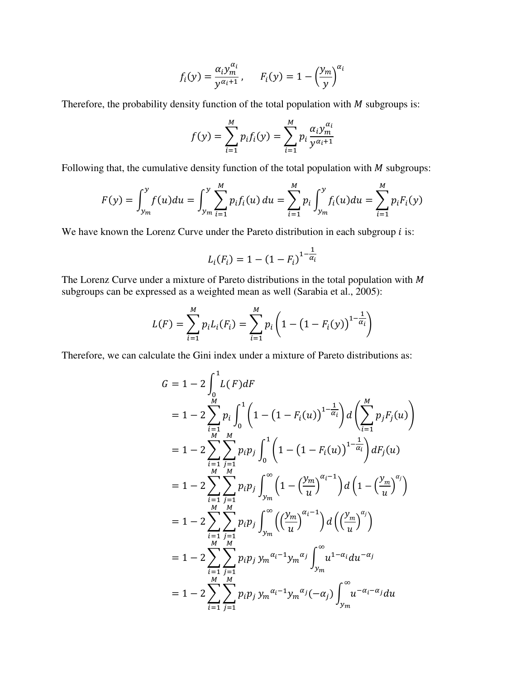$$
f_i(y) = \frac{\alpha_i y_m^{\alpha_i}}{y^{\alpha_i+1}}, \qquad F_i(y) = 1 - \left(\frac{y_m}{y}\right)^{\alpha_i}
$$

Therefore, the probability density function of the total population with  $M$  subgroups is:

$$
f(y) = \sum_{i=1}^{M} p_i f_i(y) = \sum_{i=1}^{M} p_i \frac{\alpha_i y_m^{\alpha_i}}{y^{\alpha_i+1}}
$$

Following that, the cumulative density function of the total population with  $M$  subgroups:

$$
F(y) = \int_{y_m}^{y} f(u) du = \int_{y_m}^{y} \sum_{i=1}^{M} p_i f_i(u) du = \sum_{i=1}^{M} p_i \int_{y_m}^{y} f_i(u) du = \sum_{i=1}^{M} p_i F_i(y)
$$

We have known the Lorenz Curve under the Pareto distribution in each subgroup  $i$  is:

$$
L_i(F_i) = 1 - (1 - F_i)^{1 - \frac{1}{\alpha_i}}
$$

The Lorenz Curve under a mixture of Pareto distributions in the total population with  $M$ subgroups can be expressed as a weighted mean as well (Sarabia et al., 2005):

$$
L(F) = \sum_{i=1}^{M} p_i L_i(F_i) = \sum_{i=1}^{M} p_i \left( 1 - \left( 1 - F_i(y) \right)^{1 - \frac{1}{\alpha_i}} \right)
$$

Therefore, we can calculate the Gini index under a mixture of Pareto distributions as:

$$
G = 1 - 2 \int_{0}^{1} L(F) dF
$$
  
\n
$$
= 1 - 2 \sum_{\substack{i=1 \ i \neq j}}^{M} p_i \int_{0}^{1} \left( 1 - (1 - F_i(u))^{1 - \frac{1}{\alpha_i}} \right) d\left( \sum_{i=1}^{M} p_j F_j(u) \right)
$$
  
\n
$$
= 1 - 2 \sum_{\substack{i=1 \ i \neq j}}^{M} p_i p_j \int_{0}^{1} \left( 1 - (1 - F_i(u))^{1 - \frac{1}{\alpha_i}} \right) dF_j(u)
$$
  
\n
$$
= 1 - 2 \sum_{\substack{i=1 \ i \neq j}}^{M} p_i p_j \int_{y_m}^{\infty} \left( 1 - \left( \frac{y_m}{u} \right)^{\alpha_i - 1} \right) d\left( 1 - \left( \frac{y_m}{u} \right)^{\alpha_j} \right)
$$
  
\n
$$
= 1 - 2 \sum_{\substack{i=1 \ i \neq j}}^{M} \sum_{j=1}^{M} p_i p_j \int_{y_m}^{\infty} \left( \left( \frac{y_m}{u} \right)^{\alpha_i - 1} \right) d\left( \left( \frac{y_m}{u} \right)^{\alpha_j} \right)
$$
  
\n
$$
= 1 - 2 \sum_{\substack{i=1 \ i \neq j}}^{M} \sum_{j=1}^{M} p_i p_j y_m^{\alpha_i - 1} y_m^{\alpha_j} \int_{y_m}^{\infty} u^{1 - \alpha_i} du^{-\alpha_j}
$$
  
\n
$$
= 1 - 2 \sum_{\substack{i=1 \ i \neq j}}^{M} \sum_{j=1}^{M} p_i p_j y_m^{\alpha_i - 1} y_m^{\alpha_j} (-\alpha_j) \int_{y_m}^{\infty} u^{-\alpha_i - \alpha_j} du
$$